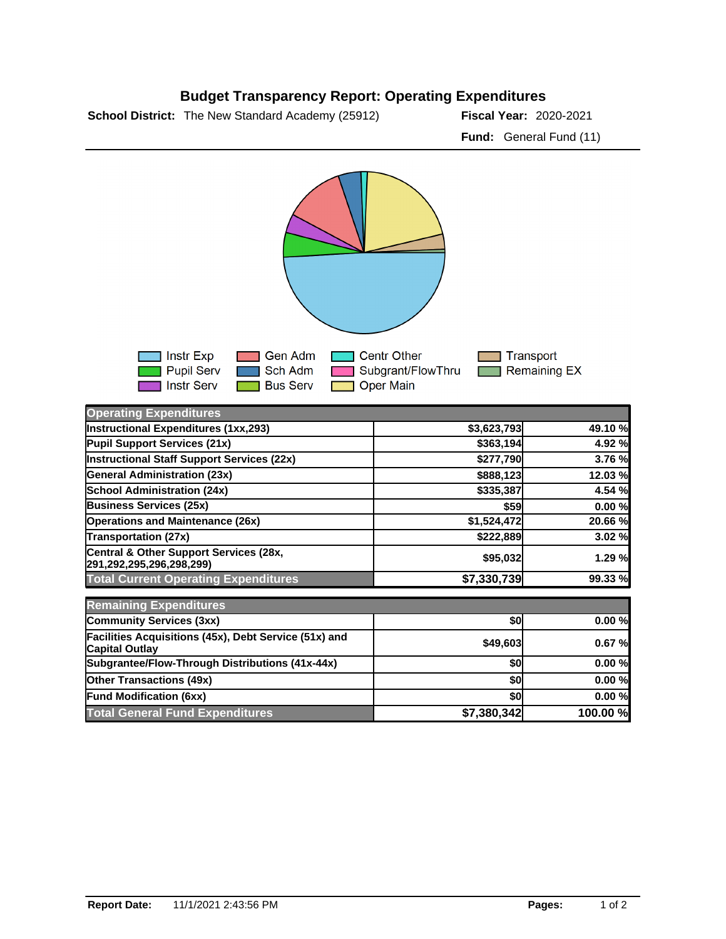



| <b>Operating Expenditures</b>                                                  |             |          |
|--------------------------------------------------------------------------------|-------------|----------|
| Instructional Expenditures (1xx,293)                                           | \$3,623,793 | 49.10 %  |
| Pupil Support Services (21x)                                                   | \$363,194   | 4.92 %   |
| Instructional Staff Support Services (22x)                                     | \$277,790   | 3.76 %   |
| <b>General Administration (23x)</b>                                            | \$888,123   | 12.03 %  |
| <b>School Administration (24x)</b>                                             | \$335,387   | 4.54 %   |
| <b>Business Services (25x)</b>                                                 | <b>\$59</b> | 0.00%    |
| <b>Operations and Maintenance (26x)</b>                                        | \$1,524,472 | 20.66 %  |
| <b>Transportation (27x)</b>                                                    | \$222,889   | 3.02 %   |
| Central & Other Support Services (28x,<br> 291,292,295,296,298,299)            | \$95,032    | 1.29 %   |
| <b>Total Current Operating Expenditures</b>                                    | \$7,330,739 | 99.33 %  |
| <b>Remaining Expenditures</b>                                                  |             |          |
| <b>Community Services (3xx)</b>                                                | \$0         | 0.00%    |
| Facilities Acquisitions (45x), Debt Service (51x) and<br><b>Capital Outlay</b> | \$49,603    | 0.67%    |
| Subgrantee/Flow-Through Distributions (41x-44x)                                | \$0         | 0.00%    |
| <b>Other Transactions (49x)</b>                                                | \$0         | 0.00%    |
| <b>Fund Modification (6xx)</b>                                                 | \$0         | 0.00%    |
| <b>Total General Fund Expenditures</b>                                         | \$7,380,342 | 100.00 % |